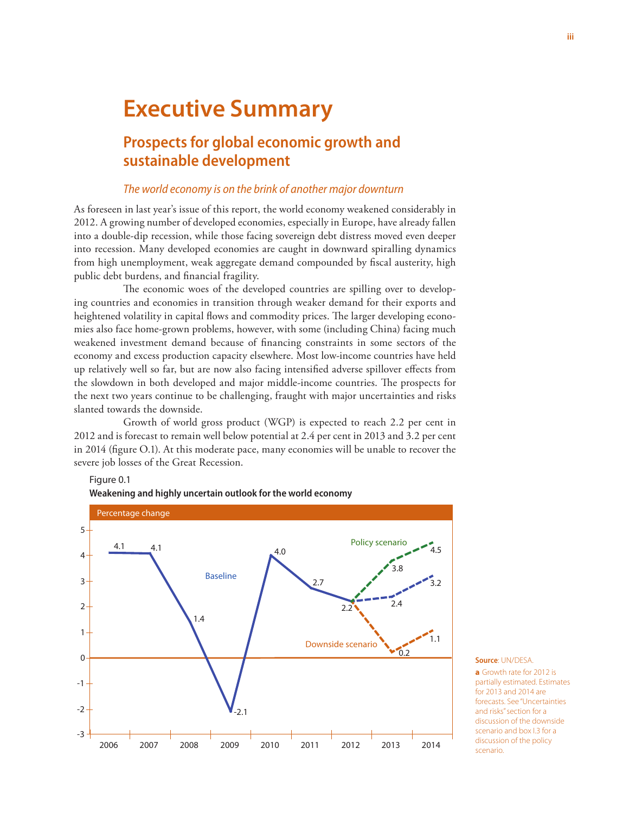# **Executive Summary**

# **Prospects for global economic growth and sustainable development**

## *The world economy is on the brink of another major downturn*

As foreseen in last year's issue of this report, the world economy weakened considerably in 2012. A growing number of developed economies, especially in Europe, have already fallen into a double-dip recession, while those facing sovereign debt distress moved even deeper into recession. Many developed economies are caught in downward spiralling dynamics from high unemployment, weak aggregate demand compounded by fiscal austerity, high public debt burdens, and financial fragility.

The economic woes of the developed countries are spilling over to developing countries and economies in transition through weaker demand for their exports and heightened volatility in capital flows and commodity prices. The larger developing economies also face home-grown problems, however, with some (including China) facing much weakened investment demand because of financing constraints in some sectors of the economy and excess production capacity elsewhere. Most low-income countries have held up relatively well so far, but are now also facing intensified adverse spillover effects from the slowdown in both developed and major middle-income countries. The prospects for the next two years continue to be challenging, fraught with major uncertainties and risks slanted towards the downside.

Growth of world gross product (WGP) is expected to reach 2.2 per cent in 2012 and is forecast to remain well below potential at 2.4 per cent in 2013 and 3.2 per cent in 2014 (figure O.1). At this moderate pace, many economies will be unable to recover the severe job losses of the Great Recession.



## Figure 0.1 **Weakening and highly uncertain outlook for the world economy**

**Source**: UN/DESA.

**a** Growth rate for 2012 is partially estimated. Estimates for 2013 and 2014 are forecasts. See "Uncertainties and risks" section for a discussion of the downside scenario and box I.3 for a discussion of the policy scenario.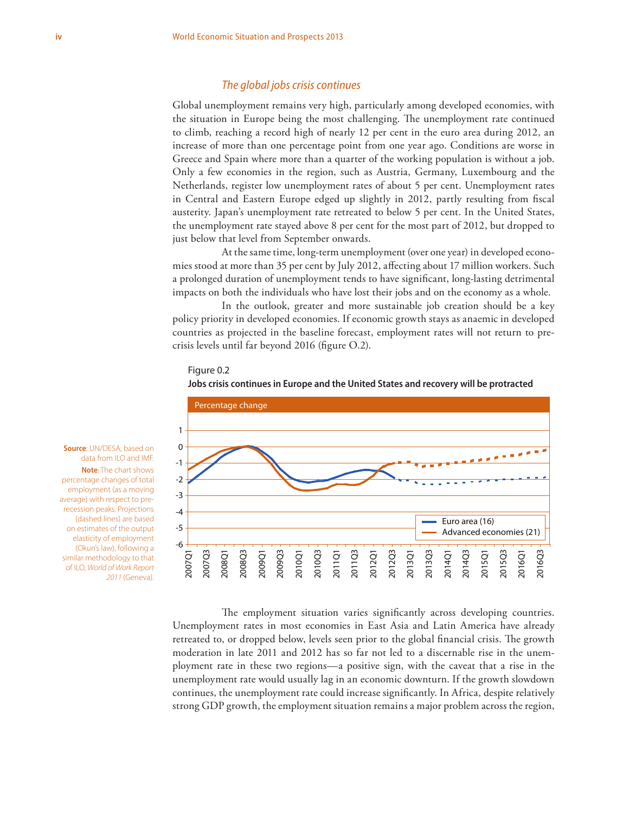### *The global jobs crisis continues*

Global unemployment remains very high, particularly among developed economies, with the situation in Europe being the most challenging. The unemployment rate continued to climb, reaching a record high of nearly 12 per cent in the euro area during 2012, an increase of more than one percentage point from one year ago. Conditions are worse in Greece and Spain where more than a quarter of the working population is without a job. Only a few economies in the region, such as Austria, Germany, Luxembourg and the Netherlands, register low unemployment rates of about 5 per cent. Unemployment rates in Central and Eastern Europe edged up slightly in 2012, partly resulting from fiscal austerity. Japan's unemployment rate retreated to below 5 per cent. In the United States, the unemployment rate stayed above 8 per cent for the most part of 2012, but dropped to just below that level from September onwards.

At the same time, long-term unemployment (over one year) in developed economies stood at more than 35 per cent by July 2012, affecting about 17 million workers. Such a prolonged duration of unemployment tends to have significant, long-lasting detrimental impacts on both the individuals who have lost their jobs and on the economy as a whole.

In the outlook, greater and more sustainable job creation should be a key policy priority in developed economies. If economic growth stays as anaemic in developed countries as projected in the baseline forecast, employment rates will not return to precrisis levels until far beyond 2016 (figure O.2).

#### Figure 0.2





**Source**: UN/DESA, based on data from ILO and IMF. **Note**: The chart shows percentage changes of total employment (as a moving average) with respect to prerecession peaks. Projections (dashed lines) are based on estimates of the output elasticity of employment (Okun's law), following a similar methodology to that of ILO, *World of Work Report 2011* (Geneva).

> The employment situation varies significantly across developing countries. Unemployment rates in most economies in East Asia and Latin America have already retreated to, or dropped below, levels seen prior to the global financial crisis. The growth moderation in late 2011 and 2012 has so far not led to a discernable rise in the unemployment rate in these two regions—a positive sign, with the caveat that a rise in the unemployment rate would usually lag in an economic downturn. If the growth slowdown continues, the unemployment rate could increase significantly. In Africa, despite relatively strong GDP growth, the employment situation remains a major problem across the region,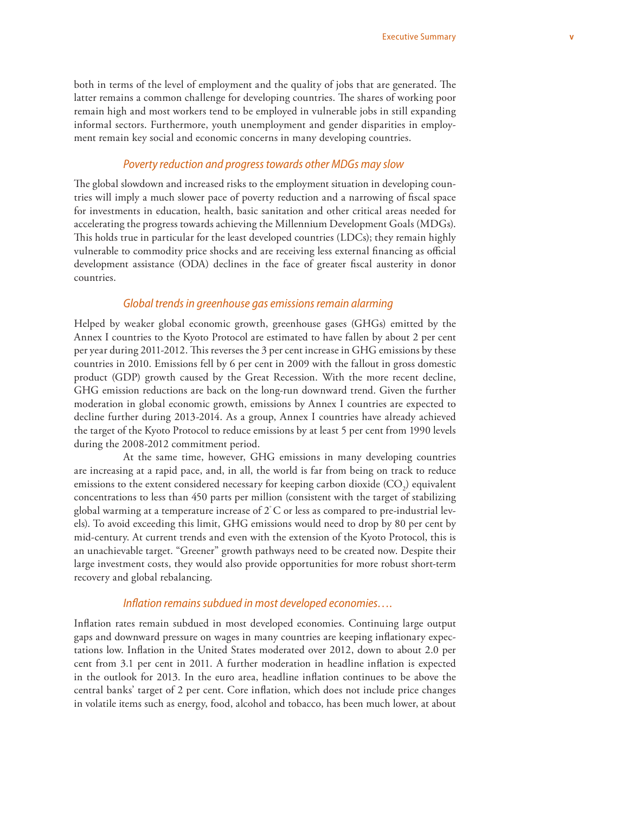both in terms of the level of employment and the quality of jobs that are generated. The latter remains a common challenge for developing countries. The shares of working poor remain high and most workers tend to be employed in vulnerable jobs in still expanding informal sectors. Furthermore, youth unemployment and gender disparities in employment remain key social and economic concerns in many developing countries.

## *Poverty reduction and progress towards other MDGs may slow*

The global slowdown and increased risks to the employment situation in developing countries will imply a much slower pace of poverty reduction and a narrowing of fiscal space for investments in education, health, basic sanitation and other critical areas needed for accelerating the progress towards achieving the Millennium Development Goals (MDGs). This holds true in particular for the least developed countries (LDCs); they remain highly vulnerable to commodity price shocks and are receiving less external financing as official development assistance (ODA) declines in the face of greater fiscal austerity in donor countries.

## *Global trends in greenhouse gas emissions remain alarming*

Helped by weaker global economic growth, greenhouse gases (GHGs) emitted by the Annex I countries to the Kyoto Protocol are estimated to have fallen by about 2 per cent per year during 2011-2012. This reverses the 3 per cent increase in GHG emissions by these countries in 2010. Emissions fell by 6 per cent in 2009 with the fallout in gross domestic product (GDP) growth caused by the Great Recession. With the more recent decline, GHG emission reductions are back on the long-run downward trend. Given the further moderation in global economic growth, emissions by Annex I countries are expected to decline further during 2013-2014. As a group, Annex I countries have already achieved the target of the Kyoto Protocol to reduce emissions by at least 5 per cent from 1990 levels during the 2008-2012 commitment period.

At the same time, however, GHG emissions in many developing countries are increasing at a rapid pace, and, in all, the world is far from being on track to reduce emissions to the extent considered necessary for keeping carbon dioxide (CO<sub>2</sub>) equivalent concentrations to less than 450 parts per million (consistent with the target of stabilizing global warming at a temperature increase of  $2^{\circ}$ C or less as compared to pre-industrial levels). To avoid exceeding this limit, GHG emissions would need to drop by 80 per cent by mid-century. At current trends and even with the extension of the Kyoto Protocol, this is an unachievable target. "Greener" growth pathways need to be created now. Despite their large investment costs, they would also provide opportunities for more robust short-term recovery and global rebalancing.

## *Inflation remains subdued in most developed economies….*

Inflation rates remain subdued in most developed economies. Continuing large output gaps and downward pressure on wages in many countries are keeping inflationary expectations low. Inflation in the United States moderated over 2012, down to about 2.0 per cent from 3.1 per cent in 2011. A further moderation in headline inflation is expected in the outlook for 2013. In the euro area, headline inflation continues to be above the central banks' target of 2 per cent. Core inflation, which does not include price changes in volatile items such as energy, food, alcohol and tobacco, has been much lower, at about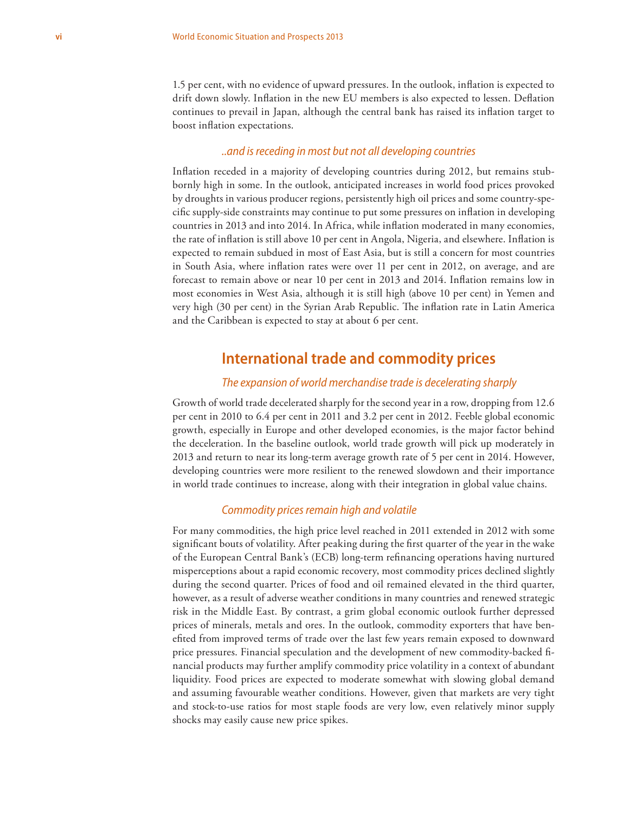1.5 per cent, with no evidence of upward pressures. In the outlook, inflation is expected to drift down slowly. Inflation in the new EU members is also expected to lessen. Deflation continues to prevail in Japan, although the central bank has raised its inflation target to boost inflation expectations.

## *..and is receding in most but not all developing countries*

Inflation receded in a majority of developing countries during 2012, but remains stubbornly high in some. In the outlook, anticipated increases in world food prices provoked by droughts in various producer regions, persistently high oil prices and some country-specific supply-side constraints may continue to put some pressures on inflation in developing countries in 2013 and into 2014. In Africa, while inflation moderated in many economies, the rate of inflation is still above 10 per cent in Angola, Nigeria, and elsewhere. Inflation is expected to remain subdued in most of East Asia, but is still a concern for most countries in South Asia, where inflation rates were over 11 per cent in 2012, on average, and are forecast to remain above or near 10 per cent in 2013 and 2014. Inflation remains low in most economies in West Asia, although it is still high (above 10 per cent) in Yemen and very high (30 per cent) in the Syrian Arab Republic. The inflation rate in Latin America and the Caribbean is expected to stay at about 6 per cent.

## **International trade and commodity prices**

### *The expansion of world merchandise trade is decelerating sharply*

Growth of world trade decelerated sharply for the second year in a row, dropping from 12.6 per cent in 2010 to 6.4 per cent in 2011 and 3.2 per cent in 2012. Feeble global economic growth, especially in Europe and other developed economies, is the major factor behind the deceleration. In the baseline outlook, world trade growth will pick up moderately in 2013 and return to near its long-term average growth rate of 5 per cent in 2014. However, developing countries were more resilient to the renewed slowdown and their importance in world trade continues to increase, along with their integration in global value chains.

### *Commodity prices remain high and volatile*

For many commodities, the high price level reached in 2011 extended in 2012 with some significant bouts of volatility. After peaking during the first quarter of the year in the wake of the European Central Bank's (ECB) long-term refinancing operations having nurtured misperceptions about a rapid economic recovery, most commodity prices declined slightly during the second quarter. Prices of food and oil remained elevated in the third quarter, however, as a result of adverse weather conditions in many countries and renewed strategic risk in the Middle East. By contrast, a grim global economic outlook further depressed prices of minerals, metals and ores. In the outlook, commodity exporters that have benefited from improved terms of trade over the last few years remain exposed to downward price pressures. Financial speculation and the development of new commodity-backed financial products may further amplify commodity price volatility in a context of abundant liquidity. Food prices are expected to moderate somewhat with slowing global demand and assuming favourable weather conditions. However, given that markets are very tight and stock-to-use ratios for most staple foods are very low, even relatively minor supply shocks may easily cause new price spikes.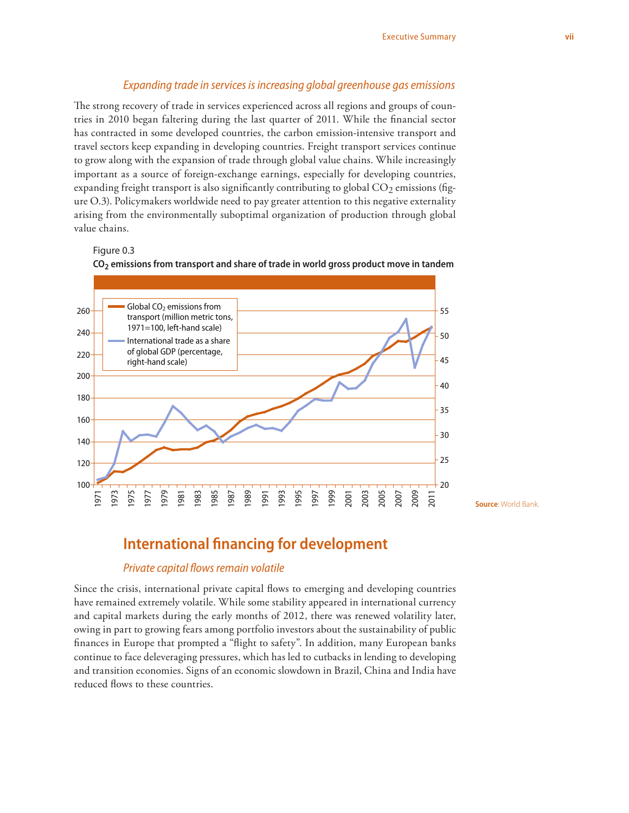## *Expanding trade in services is increasing global greenhouse gas emissions*

The strong recovery of trade in services experienced across all regions and groups of countries in 2010 began faltering during the last quarter of 2011. While the financial sector has contracted in some developed countries, the carbon emission-intensive transport and travel sectors keep expanding in developing countries. Freight transport services continue to grow along with the expansion of trade through global value chains. While increasingly important as a source of foreign-exchange earnings, especially for developing countries, expanding freight transport is also significantly contributing to global  $CO<sub>2</sub>$  emissions (figure O.3). Policymakers worldwide need to pay greater attention to this negative externality arising from the environmentally suboptimal organization of production through global value chains.

## Figure 0.3



**CO2 emissions from transport and share of trade in world gross product move in tandem** 

#### **Source**: World Bank.

# **International financing for development**

## *Private capital flows remain volatile*

Since the crisis, international private capital flows to emerging and developing countries have remained extremely volatile. While some stability appeared in international currency and capital markets during the early months of 2012, there was renewed volatility later, owing in part to growing fears among portfolio investors about the sustainability of public finances in Europe that prompted a "flight to safety". In addition, many European banks continue to face deleveraging pressures, which has led to cutbacks in lending to developing and transition economies. Signs of an economic slowdown in Brazil, China and India have reduced flows to these countries.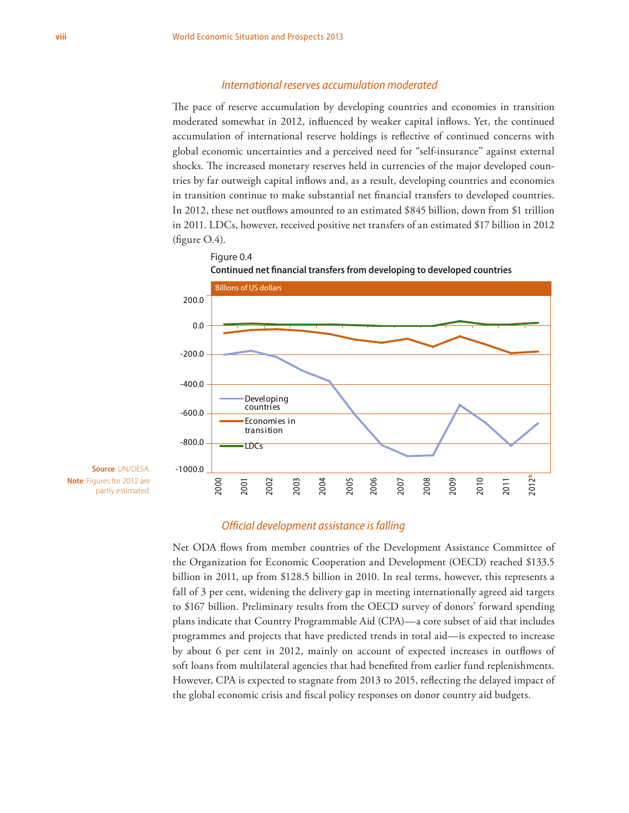## *International reserves accumulation moderated*

The pace of reserve accumulation by developing countries and economies in transition moderated somewhat in 2012, influenced by weaker capital inflows. Yet, the continued accumulation of international reserve holdings is reflective of continued concerns with global economic uncertainties and a perceived need for "self-insurance" against external shocks. The increased monetary reserves held in currencies of the major developed countries by far outweigh capital inflows and, as a result, developing countries and economies in transition continue to make substantial net financial transfers to developed countries. In 2012, these net outflows amounted to an estimated \$845 billion, down from \$1 trillion in 2011. LDCs, however, received positive net transfers of an estimated \$17 billion in 2012 (figure O.4).





**Source**: UN/DESA. **Note**: Figures for 2012 are partly estimated.

### *Official development assistance is falling*

Net ODA flows from member countries of the Development Assistance Committee of the Organization for Economic Cooperation and Development (OECD) reached \$133.5 billion in 2011, up from \$128.5 billion in 2010. In real terms, however, this represents a fall of 3 per cent, widening the delivery gap in meeting internationally agreed aid targets to \$167 billion. Preliminary results from the OECD survey of donors' forward spending plans indicate that Country Programmable Aid (CPA)—a core subset of aid that includes programmes and projects that have predicted trends in total aid—is expected to increase by about 6 per cent in 2012, mainly on account of expected increases in outflows of soft loans from multilateral agencies that had benefited from earlier fund replenishments. However, CPA is expected to stagnate from 2013 to 2015, reflecting the delayed impact of the global economic crisis and fiscal policy responses on donor country aid budgets.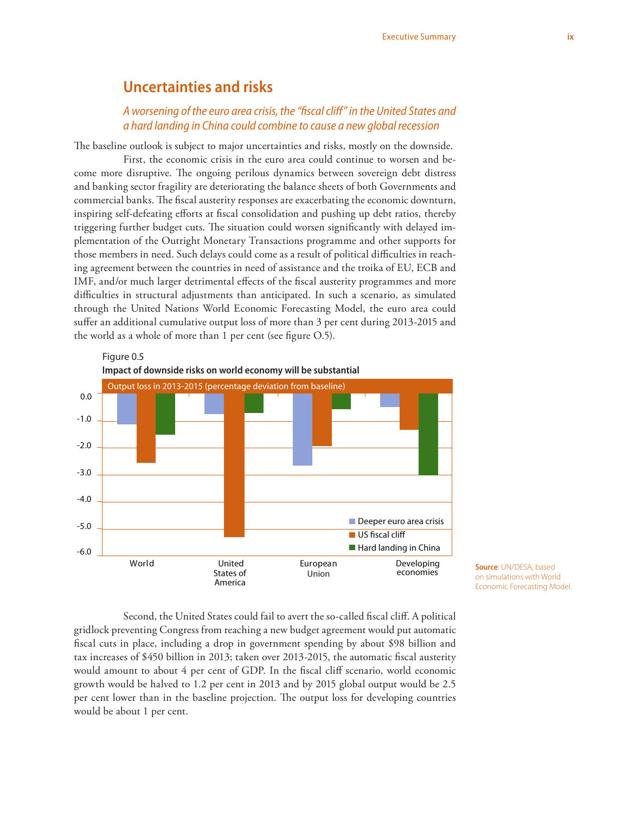## **Uncertainties and risks**

## *A worsening of the euro area crisis, the "fiscal cliff" in the United States and a hard landing in China could combine to cause a new global recession*

The baseline outlook is subject to major uncertainties and risks, mostly on the downside.

First, the economic crisis in the euro area could continue to worsen and become more disruptive. The ongoing perilous dynamics between sovereign debt distress and banking sector fragility are deteriorating the balance sheets of both Governments and commercial banks. The fiscal austerity responses are exacerbating the economic downturn, inspiring self-defeating efforts at fiscal consolidation and pushing up debt ratios, thereby triggering further budget cuts. The situation could worsen significantly with delayed implementation of the Outright Monetary Transactions programme and other supports for those members in need. Such delays could come as a result of political difficulties in reaching agreement between the countries in need of assistance and the troika of EU, ECB and IMF, and/or much larger detrimental effects of the fiscal austerity programmes and more difficulties in structural adjustments than anticipated. In such a scenario, as simulated through the United Nations World Economic Forecasting Model, the euro area could suffer an additional cumulative output loss of more than 3 per cent during 2013-2015 and the world as a whole of more than 1 per cent (see figure O.5).



**Source**: UN/DESA, based on simulations with World Economic Forecasting Model.

Second, the United States could fail to avert the so-called fiscal cliff. A political gridlock preventing Congress from reaching a new budget agreement would put automatic fiscal cuts in place, including a drop in government spending by about \$98 billion and tax increases of \$450 billion in 2013; taken over 2013-2015, the automatic fiscal austerity would amount to about 4 per cent of GDP. In the fiscal cliff scenario, world economic growth would be halved to 1.2 per cent in 2013 and by 2015 global output would be 2.5 per cent lower than in the baseline projection. The output loss for developing countries would be about 1 per cent.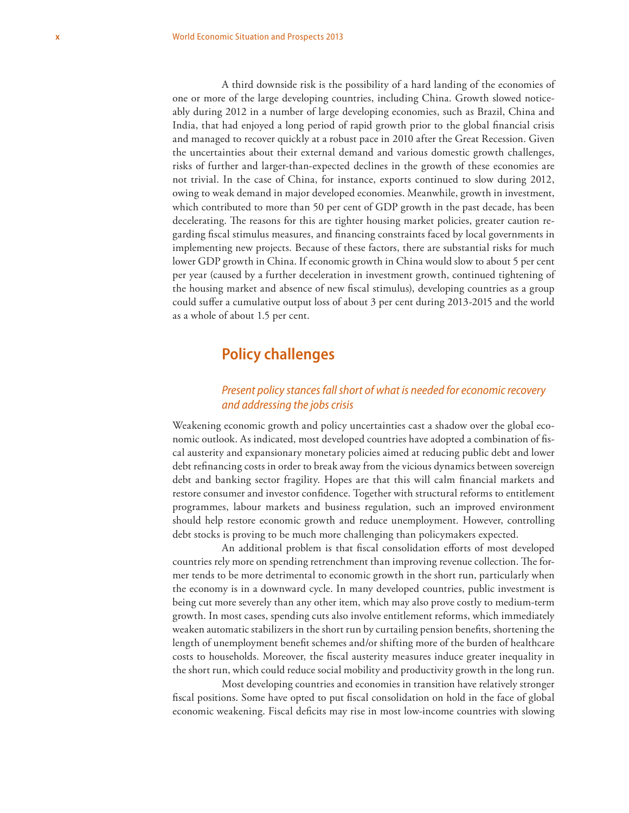A third downside risk is the possibility of a hard landing of the economies of one or more of the large developing countries, including China. Growth slowed noticeably during 2012 in a number of large developing economies, such as Brazil, China and India, that had enjoyed a long period of rapid growth prior to the global financial crisis and managed to recover quickly at a robust pace in 2010 after the Great Recession. Given the uncertainties about their external demand and various domestic growth challenges, risks of further and larger-than-expected declines in the growth of these economies are not trivial. In the case of China, for instance, exports continued to slow during 2012, owing to weak demand in major developed economies. Meanwhile, growth in investment, which contributed to more than 50 per cent of GDP growth in the past decade, has been decelerating. The reasons for this are tighter housing market policies, greater caution regarding fiscal stimulus measures, and financing constraints faced by local governments in implementing new projects. Because of these factors, there are substantial risks for much lower GDP growth in China. If economic growth in China would slow to about 5 per cent per year (caused by a further deceleration in investment growth, continued tightening of the housing market and absence of new fiscal stimulus), developing countries as a group could suffer a cumulative output loss of about 3 per cent during 2013-2015 and the world as a whole of about 1.5 per cent.

# **Policy challenges**

## *Present policy stances fall short of what is needed for economic recovery and addressing the jobs crisis*

Weakening economic growth and policy uncertainties cast a shadow over the global economic outlook. As indicated, most developed countries have adopted a combination of fiscal austerity and expansionary monetary policies aimed at reducing public debt and lower debt refinancing costs in order to break away from the vicious dynamics between sovereign debt and banking sector fragility. Hopes are that this will calm financial markets and restore consumer and investor confidence. Together with structural reforms to entitlement programmes, labour markets and business regulation, such an improved environment should help restore economic growth and reduce unemployment. However, controlling debt stocks is proving to be much more challenging than policymakers expected.

An additional problem is that fiscal consolidation efforts of most developed countries rely more on spending retrenchment than improving revenue collection. The former tends to be more detrimental to economic growth in the short run, particularly when the economy is in a downward cycle. In many developed countries, public investment is being cut more severely than any other item, which may also prove costly to medium-term growth. In most cases, spending cuts also involve entitlement reforms, which immediately weaken automatic stabilizers in the short run by curtailing pension benefits, shortening the length of unemployment benefit schemes and/or shifting more of the burden of healthcare costs to households. Moreover, the fiscal austerity measures induce greater inequality in the short run, which could reduce social mobility and productivity growth in the long run.

Most developing countries and economies in transition have relatively stronger fiscal positions. Some have opted to put fiscal consolidation on hold in the face of global economic weakening. Fiscal deficits may rise in most low-income countries with slowing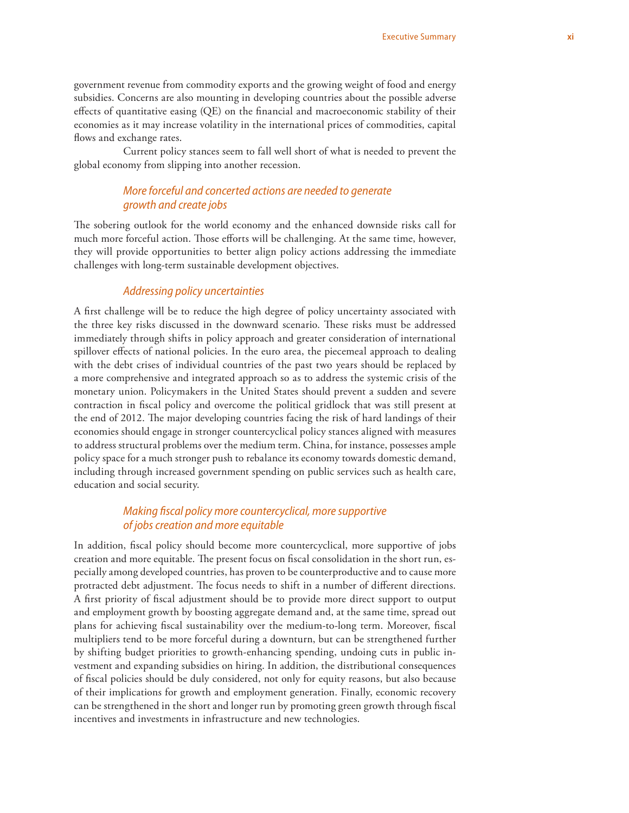government revenue from commodity exports and the growing weight of food and energy subsidies. Concerns are also mounting in developing countries about the possible adverse effects of quantitative easing (QE) on the financial and macroeconomic stability of their economies as it may increase volatility in the international prices of commodities, capital flows and exchange rates.

Current policy stances seem to fall well short of what is needed to prevent the global economy from slipping into another recession.

## *More forceful and concerted actions are needed to generate growth and create jobs*

The sobering outlook for the world economy and the enhanced downside risks call for much more forceful action. Those efforts will be challenging. At the same time, however, they will provide opportunities to better align policy actions addressing the immediate challenges with long-term sustainable development objectives.

## *Addressing policy uncertainties*

A first challenge will be to reduce the high degree of policy uncertainty associated with the three key risks discussed in the downward scenario. These risks must be addressed immediately through shifts in policy approach and greater consideration of international spillover effects of national policies. In the euro area, the piecemeal approach to dealing with the debt crises of individual countries of the past two years should be replaced by a more comprehensive and integrated approach so as to address the systemic crisis of the monetary union. Policymakers in the United States should prevent a sudden and severe contraction in fiscal policy and overcome the political gridlock that was still present at the end of 2012. The major developing countries facing the risk of hard landings of their economies should engage in stronger countercyclical policy stances aligned with measures to address structural problems over the medium term. China, for instance, possesses ample policy space for a much stronger push to rebalance its economy towards domestic demand, including through increased government spending on public services such as health care, education and social security.

## *Making fiscal policy more countercyclical, more supportive of jobs creation and more equitable*

In addition, fiscal policy should become more countercyclical, more supportive of jobs creation and more equitable. The present focus on fiscal consolidation in the short run, especially among developed countries, has proven to be counterproductive and to cause more protracted debt adjustment. The focus needs to shift in a number of different directions. A first priority of fiscal adjustment should be to provide more direct support to output and employment growth by boosting aggregate demand and, at the same time, spread out plans for achieving fiscal sustainability over the medium-to-long term. Moreover, fiscal multipliers tend to be more forceful during a downturn, but can be strengthened further by shifting budget priorities to growth-enhancing spending, undoing cuts in public investment and expanding subsidies on hiring. In addition, the distributional consequences of fiscal policies should be duly considered, not only for equity reasons, but also because of their implications for growth and employment generation. Finally, economic recovery can be strengthened in the short and longer run by promoting green growth through fiscal incentives and investments in infrastructure and new technologies.